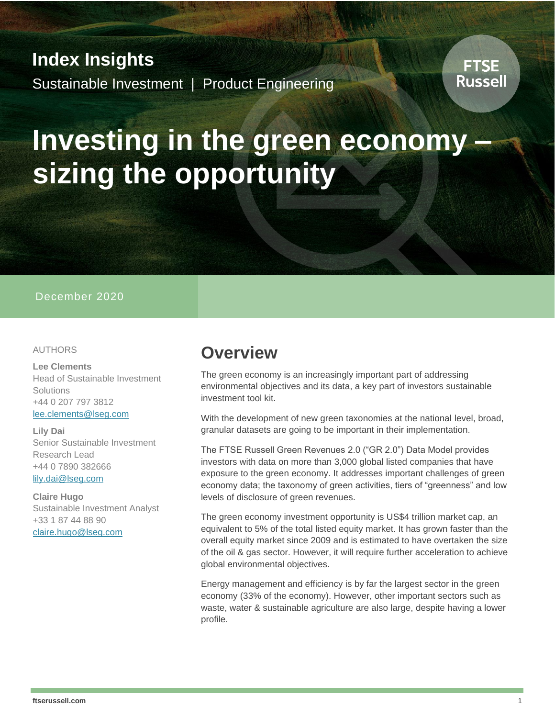# **Index Insights** Sustainable Investment | Product Engineering

# **Investing in the green economy – sizing the opportunity**

#### December 2020

#### AUTHORS

**Lee Clements** Head of Sustainable Investment **Solutions** +44 0 207 797 3812 [lee.clements@lseg.com](mailto:lee.clements@lseg.com)

**Lily Dai** Senior Sustainable Investment Research Lead +44 0 7890 382666 [lily.dai@lseg.com](mailto:lily.dai@lseg.com)

**Claire Hugo** Sustainable Investment Analyst +33 1 87 44 88 90 [claire.hugo@lseg.com](mailto:claire.hugo@lseg.com)

## **Overview**

The green economy is an increasingly important part of addressing environmental objectives and its data, a key part of investors sustainable investment tool kit.

With the development of new green taxonomies at the national level, broad, granular datasets are going to be important in their implementation.

The FTSE Russell Green Revenues 2.0 ("GR 2.0") Data Model provides investors with data on more than 3,000 global listed companies that have exposure to the green economy. It addresses important challenges of green economy data; the taxonomy of green activities, tiers of "greenness" and low levels of disclosure of green revenues.

The green economy investment opportunity is US\$4 trillion market cap, an equivalent to 5% of the total listed equity market. It has grown faster than the overall equity market since 2009 and is estimated to have overtaken the size of the oil & gas sector. However, it will require further acceleration to achieve global environmental objectives.

Energy management and efficiency is by far the largest sector in the green economy (33% of the economy). However, other important sectors such as waste, water & sustainable agriculture are also large, despite having a lower profile.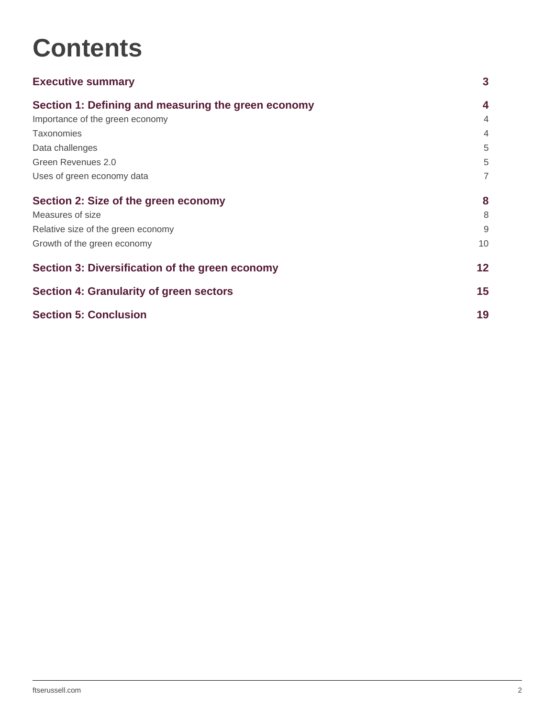# **Contents**

| <b>Executive summary</b>                            | 3               |
|-----------------------------------------------------|-----------------|
| Section 1: Defining and measuring the green economy | 4               |
| Importance of the green economy                     | 4               |
| <b>Taxonomies</b>                                   | 4               |
| Data challenges                                     | 5               |
| Green Revenues 2.0                                  | 5               |
| Uses of green economy data                          | $\overline{7}$  |
| Section 2: Size of the green economy                | 8               |
| Measures of size                                    | 8               |
| Relative size of the green economy                  | 9               |
| Growth of the green economy                         | 10              |
| Section 3: Diversification of the green economy     | 12 <sub>2</sub> |
| Section 4: Granularity of green sectors             |                 |
| <b>Section 5: Conclusion</b>                        |                 |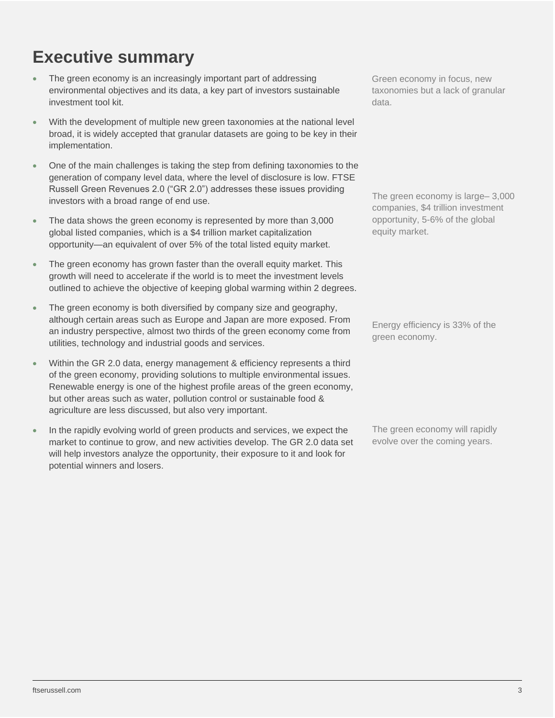# <span id="page-2-0"></span>**Executive summary**

- The green economy is an increasingly important part of addressing environmental objectives and its data, a key part of investors sustainable investment tool kit.
- With the development of multiple new green taxonomies at the national level broad, it is widely accepted that granular datasets are going to be key in their implementation.
- One of the main challenges is taking the step from defining taxonomies to the generation of company level data, where the level of disclosure is low. FTSE Russell Green Revenues 2.0 ("GR 2.0") addresses these issues providing investors with a broad range of end use.
- The data shows the green economy is represented by more than 3,000 global listed companies, which is a \$4 trillion market capitalization opportunity—an equivalent of over 5% of the total listed equity market.
- The green economy has grown faster than the overall equity market. This growth will need to accelerate if the world is to meet the investment levels outlined to achieve the objective of keeping global warming within 2 degrees.
- The green economy is both diversified by company size and geography, although certain areas such as Europe and Japan are more exposed. From an industry perspective, almost two thirds of the green economy come from utilities, technology and industrial goods and services.
- Within the GR 2.0 data, energy management & efficiency represents a third of the green economy, providing solutions to multiple environmental issues. Renewable energy is one of the highest profile areas of the green economy, but other areas such as water, pollution control or sustainable food & agriculture are less discussed, but also very important.
- In the rapidly evolving world of green products and services, we expect the market to continue to grow, and new activities develop. The GR 2.0 data set will help investors analyze the opportunity, their exposure to it and look for potential winners and losers.

Green economy in focus, new taxonomies but a lack of granular data.

The green economy is large – 3,000 companies, \$4 trillion investment opportunity, 5-6% of the global equity market.

Energy efficiency is 33% of the green economy.

The green economy will rapidly evolve over the coming years.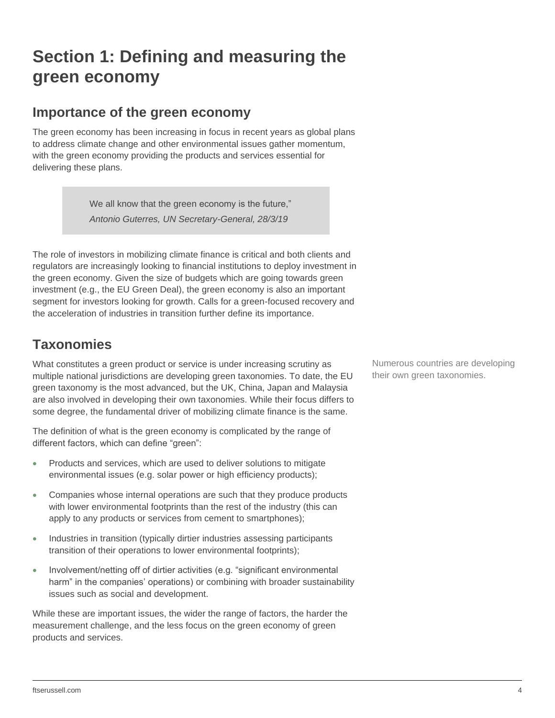# <span id="page-3-0"></span>**Section 1: Defining and measuring the green economy**

### <span id="page-3-1"></span>**Importance of the green economy**

The green economy has been increasing in focus in recent years as global plans to address climate change and other environmental issues gather momentum, with the green economy providing the products and services essential for delivering these plans.

> We all know that the green economy is the future," *Antonio Guterres, UN Secretary-General, 28/3/19*

The role of investors in mobilizing climate finance is critical and both clients and regulators are increasingly looking to financial institutions to deploy investment in the green economy. Given the size of budgets which are going towards green investment (e.g., the EU Green Deal), the green economy is also an important segment for investors looking for growth. Calls for a green-focused recovery and the acceleration of industries in transition further define its importance.

### <span id="page-3-2"></span>**Taxonomies**

What constitutes a green product or service is under increasing scrutiny as multiple national jurisdictions are developing green taxonomies. To date, the EU green taxonomy is the most advanced, but the UK, China, Japan and Malaysia are also involved in developing their own taxonomies. While their focus differs to some degree, the fundamental driver of mobilizing climate finance is the same.

The definition of what is the green economy is complicated by the range of different factors, which can define "green":

- Products and services, which are used to deliver solutions to mitigate environmental issues (e.g. solar power or high efficiency products);
- Companies whose internal operations are such that they produce products with lower environmental footprints than the rest of the industry (this can apply to any products or services from cement to smartphones);
- Industries in transition (typically dirtier industries assessing participants transition of their operations to lower environmental footprints);
- Involvement/netting off of dirtier activities (e.g. "significant environmental harm" in the companies' operations) or combining with broader sustainability issues such as social and development.

While these are important issues, the wider the range of factors, the harder the measurement challenge, and the less focus on the green economy of green products and services.

Numerous countries are developing their own green taxonomies.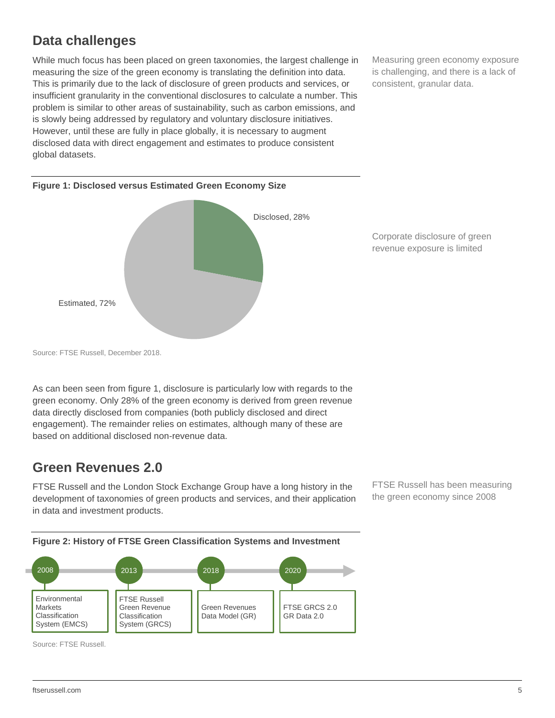## <span id="page-4-0"></span>**Data challenges**

While much focus has been placed on green taxonomies, the largest challenge in measuring the size of the green economy is translating the definition into data. This is primarily due to the lack of disclosure of green products and services, or insufficient granularity in the conventional disclosures to calculate a number. This problem is similar to other areas of sustainability, such as carbon emissions, and is slowly being addressed by regulatory and voluntary disclosure initiatives. However, until these are fully in place globally, it is necessary to augment disclosed data with direct engagement and estimates to produce consistent global datasets.

Measuring green economy exposure is challenging, and there is a lack of consistent, granular data.



Corporate disclosure of green revenue exposure is limited

As can been seen from figure 1, disclosure is particularly low with regards to the green economy. Only 28% of the green economy is derived from green revenue data directly disclosed from companies (both publicly disclosed and direct engagement). The remainder relies on estimates, although many of these are based on additional disclosed non-revenue data.

### <span id="page-4-1"></span>**Green Revenues 2.0**

FTSE Russell and the London Stock Exchange Group have a long history in the development of taxonomies of green products and services, and their application in data and investment products.

FTSE Russell has been measuring the green economy since 2008





Source: FTSE Russell.

Source: FTSE Russell, December 2018.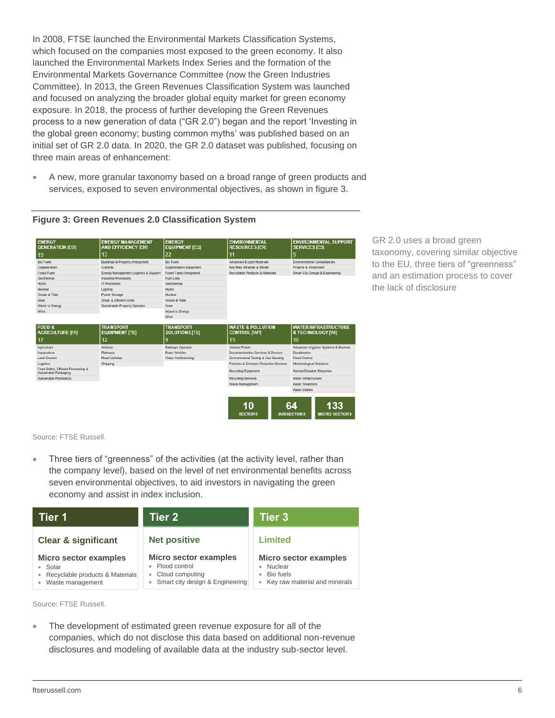In 2008, FTSE launched the Environmental Markets Classification Systems, which focused on the companies most exposed to the green economy. It also launched the Environmental Markets Index Series and the formation of the Environmental Markets Governance Committee (now the Green Industries Committee). In 2013, the Green Revenues Classification System was launched and focused on analyzing the broader global equity market for green economy exposure. In 2018, the process of further developing the Green Revenues process to a new generation of data ("GR 2.0") began and the report 'Investing in the global green economy; busting common myths' was published based on an initial set of GR 2.0 data. In 2020, the GR 2.0 dataset was published, focusing on three main areas of enhancement:

• A new, more granular taxonomy based on a broad range of green products and services, exposed to seven environmental objectives, as shown in figure 3.

| <b>ENERGY</b><br><b>GENERATION [EG]</b>                      | <b>ENERGY MANAGEMENT</b><br><b>AND EFFICIENCY [EM]</b> | <b>ENERGY</b><br><b>EQUIPMENT [EQ]</b>    | <b>ENVIRONMENTAL</b><br><b>RESOURCES [ER]</b>       | <b>ENVIRONMENTAL SUPPORT</b><br><b>SERVICES [ES]</b> |
|--------------------------------------------------------------|--------------------------------------------------------|-------------------------------------------|-----------------------------------------------------|------------------------------------------------------|
| 19                                                           | 13                                                     | 22                                        | 11                                                  | 5                                                    |
| <b>Bio Fuels</b>                                             | Buildings & Property (Integrated)                      | <b>Bio Fuels</b>                          | Advanced & Light Materials                          | Environmental Consultancies                          |
| Cogeneration                                                 | Controls                                               | Cogeneration Equipment                    | Key Raw Minerals & Metals                           | Finance & Investment                                 |
| Fossil Fuels                                                 | Energy Management Logistics & Support                  | Fossil Fuels (Integrated)                 | Recyclable Products & Materials                     | Smart City Design & Engineering                      |
| Geothermal                                                   | Industrial Processes                                   | Fuel Cells                                |                                                     |                                                      |
| Hydro                                                        | IT Processes                                           | Geothermal                                |                                                     |                                                      |
| Nuclear                                                      | Lighting                                               | Hydro                                     |                                                     |                                                      |
| Ocean & Tidal                                                | Power Storage                                          | Nuclear                                   |                                                     |                                                      |
| Solar                                                        | Smart & Efficient Grids                                | Ocean & Tidal                             |                                                     |                                                      |
| Waste to Energy                                              | Sustainable Property Operator                          | Solar                                     |                                                     |                                                      |
| Wind                                                         |                                                        | Waste to Energy                           |                                                     |                                                      |
|                                                              |                                                        | Wind                                      |                                                     |                                                      |
| <b>FOOD &amp;</b><br><b>AGRICULTURE [FA]</b>                 | <b>TRANSPORT</b><br><b>EQUIPMENT [TE]</b>              | <b>TRANSPORT</b><br><b>SOLUTIONS [TS]</b> | <b>WASTE &amp; POLLUTION</b><br><b>CONTROL [WP]</b> | <b>WATER INFRASTRUCTURE</b><br>& TECHNOLOGY [WI]     |
| 17                                                           | 12                                                     | 9                                         | 15                                                  | 10                                                   |
| Agriculture                                                  | Aviation                                               | Railways Operator                         | Cleaner Power                                       | Advanced Irrigation Systems & Devices                |
| Aguaculture                                                  | Railways                                               | Road Vehicles                             | Decontamination Services & Devices                  | Desalination                                         |
| <b>Land Frosion</b>                                          | Road Vehicles                                          | Video Conferencing                        | Environmental Testing & Gas Sensing                 | Flood Control                                        |
| Logistics                                                    | Shipping                                               |                                           | Particles & Emission Reduction Devices              | Meteorological Solutions                             |
| Food Safety, Efficient Processing &<br>Sustainable Packaging |                                                        |                                           | Recycling Equipment                                 | Natural Disaster Response                            |
| Sustainable Plantations                                      |                                                        |                                           | Recycling Services                                  | Water Infrastructure                                 |
|                                                              |                                                        |                                           | Waste Management                                    | Water Treatment                                      |
|                                                              |                                                        |                                           |                                                     | Water Utilities                                      |
|                                                              |                                                        |                                           |                                                     |                                                      |
|                                                              |                                                        |                                           | 10                                                  | 64<br>133                                            |
|                                                              |                                                        |                                           |                                                     |                                                      |

#### **Figure 3: Green Revenues 2.0 Classification System**

GR 2.0 uses a broad green taxonomy, covering similar objective to the EU, three tiers of "greenness" and an estimation process to cover the lack of disclosure

Source: FTSE Russell.

Three tiers of "greenness" of the activities (at the activity level, rather than the company level), based on the level of net environmental benefits across seven environmental objectives, to aid investors in navigating the green economy and assist in index inclusion.

| Tier 1                                                                                             | Tier 2                                                                                                               | <b>Tier 3</b>                                                                                     |
|----------------------------------------------------------------------------------------------------|----------------------------------------------------------------------------------------------------------------------|---------------------------------------------------------------------------------------------------|
| <b>Clear &amp; significant</b>                                                                     | <b>Net positive</b>                                                                                                  | <b>Limited</b>                                                                                    |
| <b>Micro sector examples</b><br>• Solar<br>• Recyclable products & Materials<br>• Waste management | <b>Micro sector examples</b><br>• Flood control<br>Cloud computing<br>$\bullet$<br>• Smart city design & Engineering | <b>Micro sector examples</b><br>Nuclear<br>٠<br>Bio fuels<br>٠<br>• Key raw material and minerals |

Source: FTSE Russell.

The development of estimated green revenue exposure for all of the companies, which do not disclose this data based on additional non-revenue disclosures and modeling of available data at the industry sub-sector level.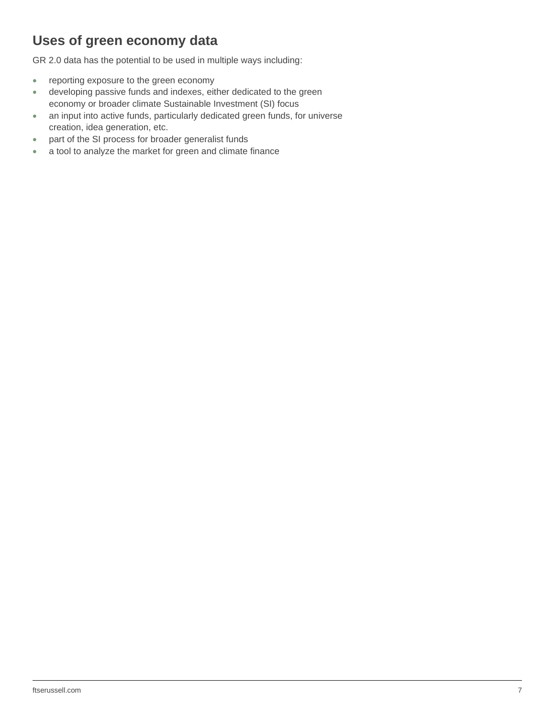## <span id="page-6-0"></span>**Uses of green economy data**

GR 2.0 data has the potential to be used in multiple ways including:

- reporting exposure to the green economy
- developing passive funds and indexes, either dedicated to the green economy or broader climate Sustainable Investment (SI) focus
- an input into active funds, particularly dedicated green funds, for universe creation, idea generation, etc.
- part of the SI process for broader generalist funds
- a tool to analyze the market for green and climate finance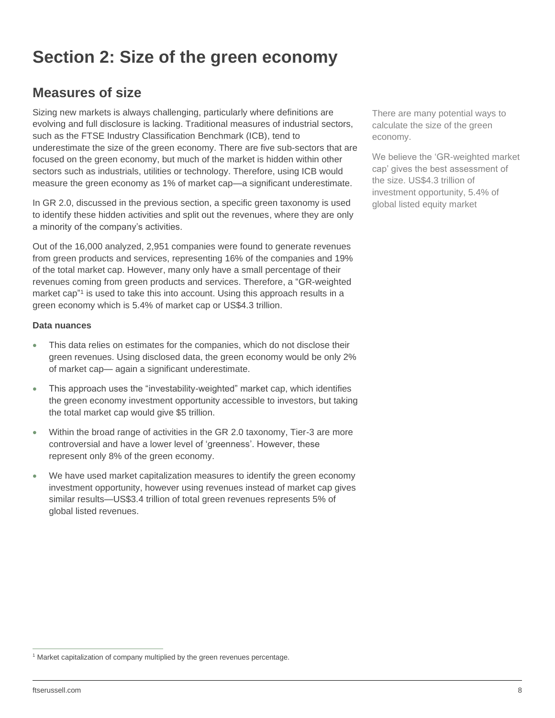# <span id="page-7-0"></span>**Section 2: Size of the green economy**

### <span id="page-7-1"></span>**Measures of size**

Sizing new markets is always challenging, particularly where definitions are evolving and full disclosure is lacking. Traditional measures of industrial sectors, such as the FTSE Industry Classification Benchmark (ICB), tend to underestimate the size of the green economy. There are five sub-sectors that are focused on the green economy, but much of the market is hidden within other sectors such as industrials, utilities or technology. Therefore, using ICB would measure the green economy as 1% of market cap—a significant underestimate.

In GR 2.0, discussed in the previous section, a specific green taxonomy is used to identify these hidden activities and split out the revenues, where they are only a minority of the company's activities.

Out of the 16,000 analyzed, 2,951 companies were found to generate revenues from green products and services, representing 16% of the companies and 19% of the total market cap. However, many only have a small percentage of their revenues coming from green products and services. Therefore, a "GR-weighted market cap"<sup>1</sup> is used to take this into account. Using this approach results in a green economy which is 5.4% of market cap or US\$4.3 trillion.

#### **Data nuances**

- This data relies on estimates for the companies, which do not disclose their green revenues. Using disclosed data, the green economy would be only 2% of market cap— again a significant underestimate.
- This approach uses the "investability-weighted" market cap, which identifies the green economy investment opportunity accessible to investors, but taking the total market cap would give \$5 trillion.
- Within the broad range of activities in the GR 2.0 taxonomy, Tier-3 are more controversial and have a lower level of 'greenness'. However, these represent only 8% of the green economy.
- We have used market capitalization measures to identify the green economy investment opportunity, however using revenues instead of market cap gives similar results—US\$3.4 trillion of total green revenues represents 5% of global listed revenues.

There are many potential ways to calculate the size of the green economy.

We believe the 'GR-weighted market cap' gives the best assessment of the size. US\$4.3 trillion of investment opportunity, 5.4% of global listed equity market

<sup>&</sup>lt;sup>1</sup> Market capitalization of company multiplied by the green revenues percentage.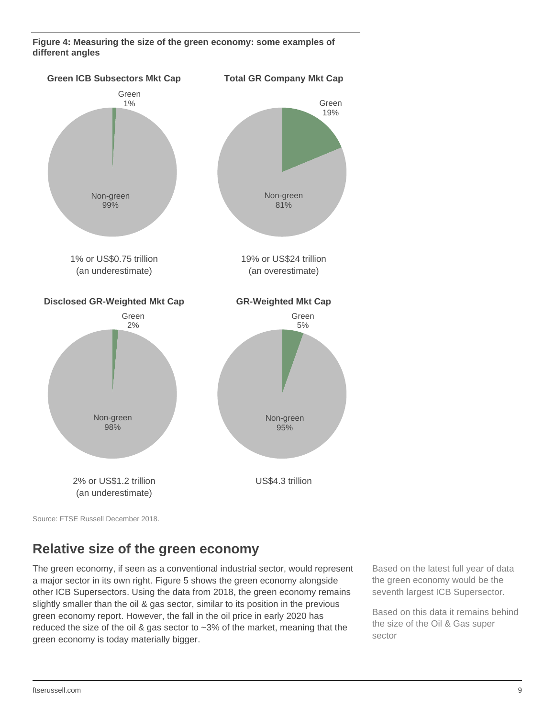**Figure 4: Measuring the size of the green economy: some examples of different angles** 



Source: FTSE Russell December 2018.

### <span id="page-8-0"></span>**Relative size of the green economy**

The green economy, if seen as a conventional industrial sector, would represent a major sector in its own right. Figure 5 shows the green economy alongside other ICB Supersectors. Using the data from 2018, the green economy remains slightly smaller than the oil & gas sector, similar to its position in the previous green economy report. However, the fall in the oil price in early 2020 has reduced the size of the oil & gas sector to ~3% of the market, meaning that the green economy is today materially bigger.

Based on the latest full year of data the green economy would be the seventh largest ICB Supersector.

Based on this data it remains behind the size of the Oil & Gas super sector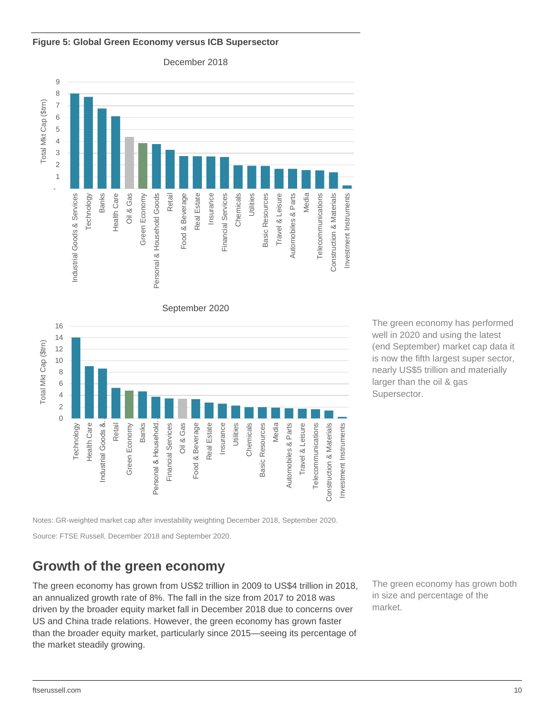

#### **Figure 5: Global Green Economy versus ICB Supersector**

December 2018





Notes: GR-weighted market cap after investability weighting December 2018, September 2020.

Source: FTSE Russell, December 2018 and September 2020.

### <span id="page-9-0"></span>**Growth of the green economy**

The green economy has grown from US\$2 trillion in 2009 to US\$4 trillion in 2018, an annualized growth rate of 8%. The fall in the size from 2017 to 2018 was driven by the broader equity market fall in December 2018 due to concerns over US and China trade relations. However, the green economy has grown faster than the broader equity market, particularly since 2015—seeing its percentage of the market steadily growing.

The green economy has grown both in size and percentage of the market.

The green economy has performed well in 2020 and using the latest (end September) market cap data it is now the fifth largest super sector, nearly US\$5 trillion and materially larger than the oil & gas Supersector.

Investment Instruments

Investment Instruments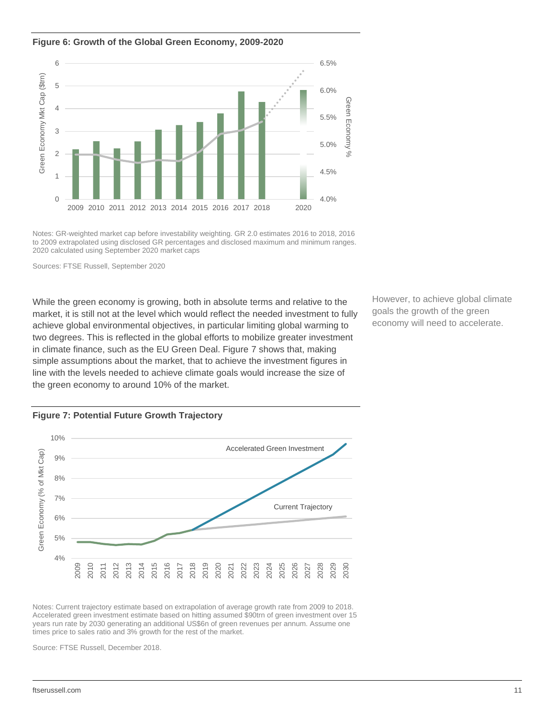#### **Figure 6: Growth of the Global Green Economy, 2009-2020**



Notes: GR-weighted market cap before investability weighting. GR 2.0 estimates 2016 to 2018, 2016 to 2009 extrapolated using disclosed GR percentages and disclosed maximum and minimum ranges. 2020 calculated using September 2020 market caps

Sources: FTSE Russell, September 2020

While the green economy is growing, both in absolute terms and relative to the market, it is still not at the level which would reflect the needed investment to fully achieve global environmental objectives, in particular limiting global warming to two degrees. This is reflected in the global efforts to mobilize greater investment in climate finance, such as the EU Green Deal. Figure 7 shows that, making simple assumptions about the market, that to achieve the investment figures in line with the levels needed to achieve climate goals would increase the size of the green economy to around 10% of the market.

However, to achieve global climate goals the growth of the green economy will need to accelerate.





Notes: Current trajectory estimate based on extrapolation of average growth rate from 2009 to 2018. Accelerated green investment estimate based on hitting assumed \$90trn of green investment over 15 years run rate by 2030 generating an additional US\$6n of green revenues per annum. Assume one times price to sales ratio and 3% growth for the rest of the market.

Source: FTSE Russell, December 2018.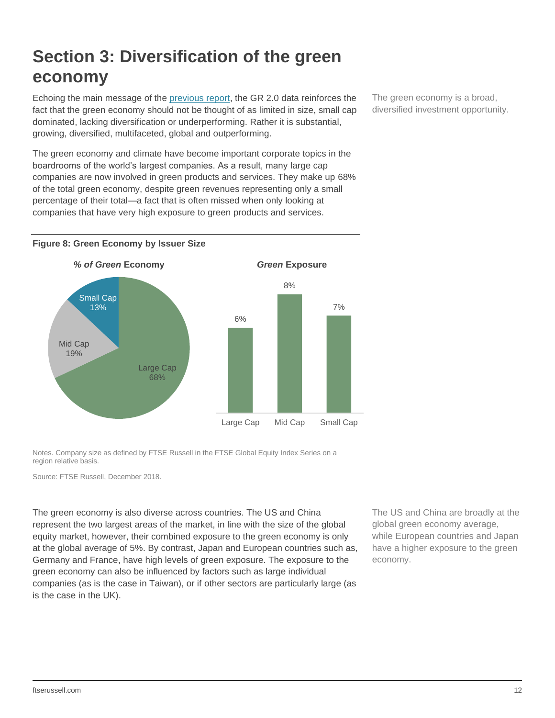# <span id="page-11-0"></span>**Section 3: Diversification of the green economy**

Echoing the main message of the [previous report,](https://www.ftserussell.com/research/investing-global-green-economy-busting-common-myths) the GR 2.0 data reinforces the fact that the green economy should not be thought of as limited in size, small cap dominated, lacking diversification or underperforming. Rather it is substantial, growing, diversified, multifaceted, global and outperforming.

The green economy and climate have become important corporate topics in the boardrooms of the world's largest companies. As a result, many large cap companies are now involved in green products and services. They make up 68% of the total green economy, despite green revenues representing only a small percentage of their total—a fact that is often missed when only looking at companies that have very high exposure to green products and services.





Notes. Company size as defined by FTSE Russell in the FTSE Global Equity Index Series on a region relative basis.

Source: FTSE Russell, December 2018.

The green economy is also diverse across countries. The US and China represent the two largest areas of the market, in line with the size of the global equity market, however, their combined exposure to the green economy is only at the global average of 5%. By contrast, Japan and European countries such as, Germany and France, have high levels of green exposure. The exposure to the green economy can also be influenced by factors such as large individual companies (as is the case in Taiwan), or if other sectors are particularly large (as is the case in the UK).

The US and China are broadly at the global green economy average, while European countries and Japan have a higher exposure to the green economy.

The green economy is a broad, diversified investment opportunity.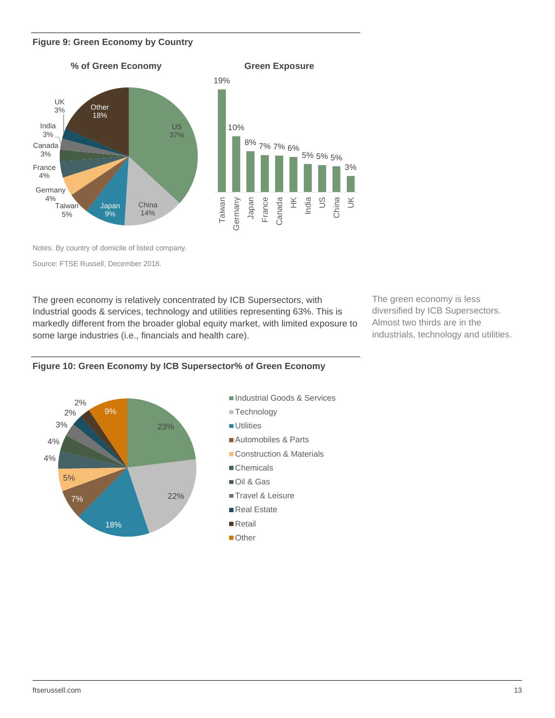#### **Figure 9: Green Economy by Country**



Notes. By country of domicile of listed company.

Source: FTSE Russell, December 2018.

The green economy is relatively concentrated by ICB Supersectors, with Industrial goods & services, technology and utilities representing 63%. This is markedly different from the broader global equity market, with limited exposure to some large industries (i.e., financials and health care).

The green economy is less diversified by ICB Supersectors. Almost two thirds are in the industrials, technology and utilities.



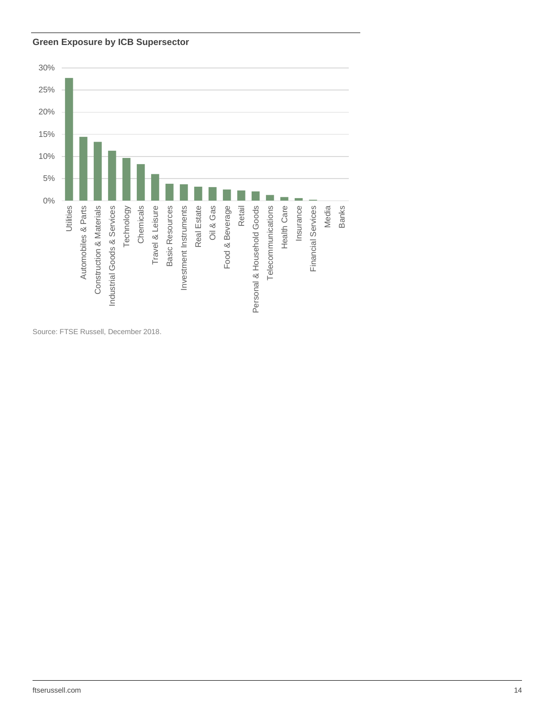#### **Green Exposure by ICB Supersector**



Source: FTSE Russell, December 2018.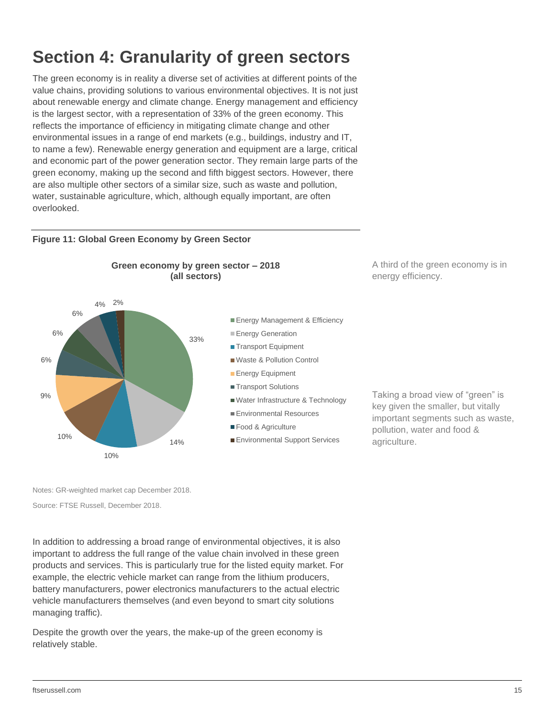# <span id="page-14-0"></span>**Section 4: Granularity of green sectors**

The green economy is in reality a diverse set of activities at different points of the value chains, providing solutions to various environmental objectives. It is not just about renewable energy and climate change. Energy management and efficiency is the largest sector, with a representation of 33% of the green economy. This reflects the importance of efficiency in mitigating climate change and other environmental issues in a range of end markets (e.g., buildings, industry and IT, to name a few). Renewable energy generation and equipment are a large, critical and economic part of the power generation sector. They remain large parts of the green economy, making up the second and fifth biggest sectors. However, there are also multiple other sectors of a similar size, such as waste and pollution, water, sustainable agriculture, which, although equally important, are often overlooked.

#### **Figure 11: Global Green Economy by Green Sector**



A third of the green economy is in energy efficiency.

Taking a broad view of "green" is key given the smaller, but vitally important segments such as waste,

pollution, water and food &

agriculture.

Notes: GR-weighted market cap December 2018.

Source: FTSE Russell, December 2018.

In addition to addressing a broad range of environmental objectives, it is also important to address the full range of the value chain involved in these green products and services. This is particularly true for the listed equity market. For example, the electric vehicle market can range from the lithium producers, battery manufacturers, power electronics manufacturers to the actual electric vehicle manufacturers themselves (and even beyond to smart city solutions managing traffic).

Despite the growth over the years, the make-up of the green economy is relatively stable.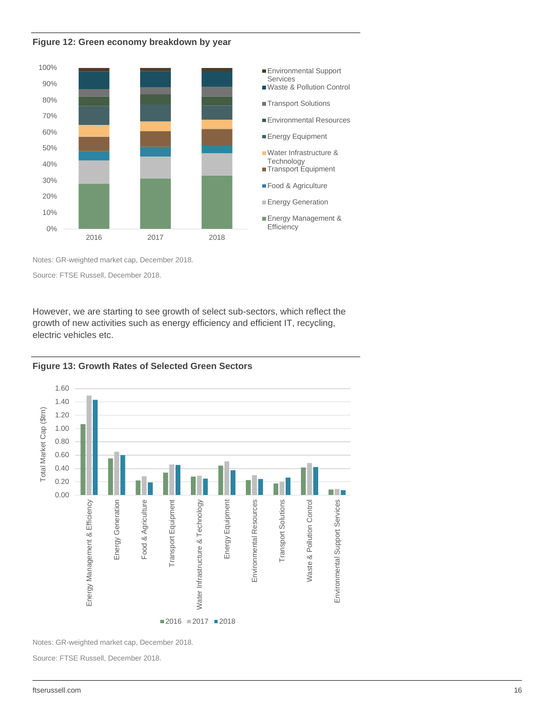



Notes: GR-weighted market cap, December 2018.

Source: FTSE Russell, December 2018.

However, we are starting to see growth of select sub-sectors, which reflect the growth of new activities such as energy efficiency and efficient IT, recycling, electric vehicles etc.





Notes: GR-weighted market cap, December 2018.

Source: FTSE Russell, December 2018.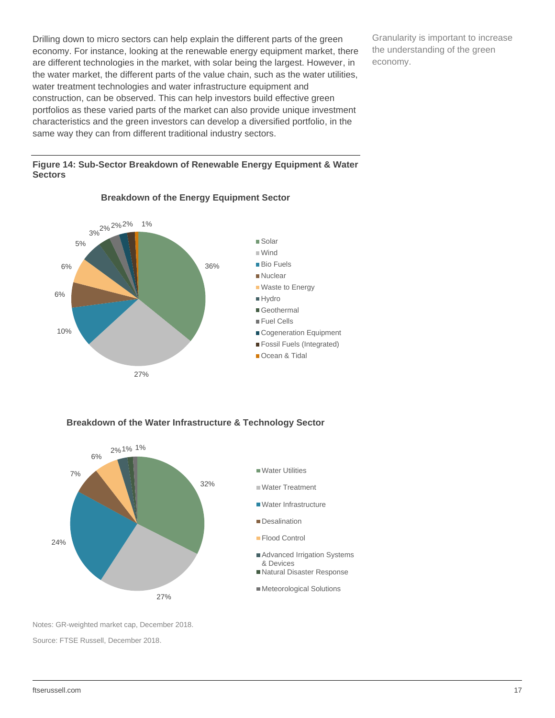Drilling down to micro sectors can help explain the different parts of the green economy. For instance, looking at the renewable energy equipment market, there are different technologies in the market, with solar being the largest. However, in the water market, the different parts of the value chain, such as the water utilities, water treatment technologies and water infrastructure equipment and construction, can be observed. This can help investors build effective green portfolios as these varied parts of the market can also provide unique investment characteristics and the green investors can develop a diversified portfolio, in the same way they can from different traditional industry sectors.

Granularity is important to increase the understanding of the green economy.

#### **Figure 14: Sub-Sector Breakdown of Renewable Energy Equipment & Water Sectors**



#### **Breakdown of the Energy Equipment Sector**

#### **Breakdown of the Water Infrastructure & Technology Sector**



Notes: GR-weighted market cap, December 2018. Source: FTSE Russell, December 2018.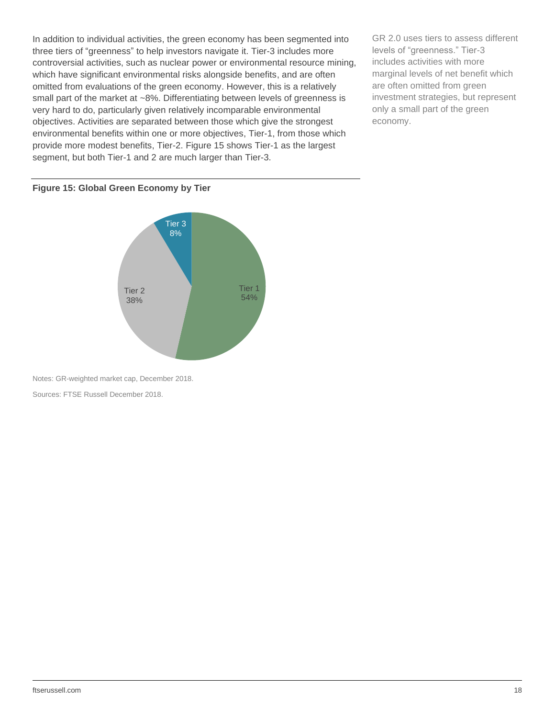In addition to individual activities, the green economy has been segmented into three tiers of "greenness" to help investors navigate it. Tier-3 includes more controversial activities, such as nuclear power or environmental resource mining, which have significant environmental risks alongside benefits, and are often omitted from evaluations of the green economy. However, this is a relatively small part of the market at ~8%. Differentiating between levels of greenness is very hard to do, particularly given relatively incomparable environmental objectives. Activities are separated between those which give the strongest environmental benefits within one or more objectives, Tier-1, from those which provide more modest benefits, Tier-2. Figure 15 shows Tier-1 as the largest segment, but both Tier-1 and 2 are much larger than Tier-3.

GR 2.0 uses tiers to assess different levels of "greenness." Tier-3 includes activities with more marginal levels of net benefit which are often omitted from green investment strategies, but represent only a small part of the green economy.

#### **Figure 15: Global Green Economy by Tier**



Notes: GR-weighted market cap, December 2018.

Sources: FTSE Russell December 2018.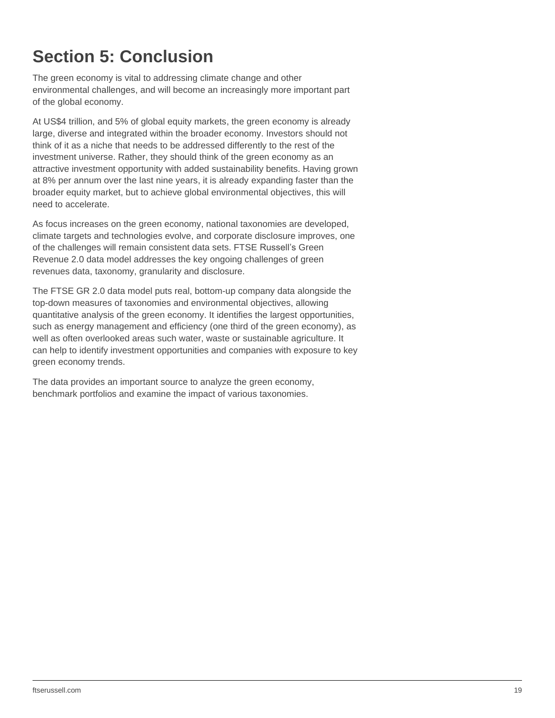# <span id="page-18-0"></span>**Section 5: Conclusion**

The green economy is vital to addressing climate change and other environmental challenges, and will become an increasingly more important part of the global economy.

At US\$4 trillion, and 5% of global equity markets, the green economy is already large, diverse and integrated within the broader economy. Investors should not think of it as a niche that needs to be addressed differently to the rest of the investment universe. Rather, they should think of the green economy as an attractive investment opportunity with added sustainability benefits. Having grown at 8% per annum over the last nine years, it is already expanding faster than the broader equity market, but to achieve global environmental objectives, this will need to accelerate.

As focus increases on the green economy, national taxonomies are developed, climate targets and technologies evolve, and corporate disclosure improves, one of the challenges will remain consistent data sets. FTSE Russell's Green Revenue 2.0 data model addresses the key ongoing challenges of green revenues data, taxonomy, granularity and disclosure.

The FTSE GR 2.0 data model puts real, bottom-up company data alongside the top-down measures of taxonomies and environmental objectives, allowing quantitative analysis of the green economy. It identifies the largest opportunities, such as energy management and efficiency (one third of the green economy), as well as often overlooked areas such water, waste or sustainable agriculture. It can help to identify investment opportunities and companies with exposure to key green economy trends.

The data provides an important source to analyze the green economy, benchmark portfolios and examine the impact of various taxonomies.